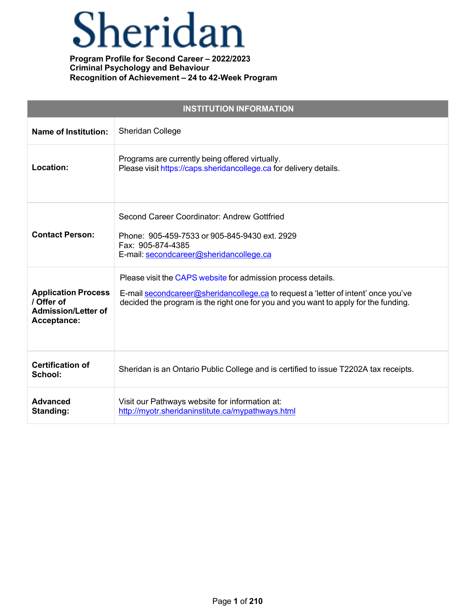# Sheridan

| <b>INSTITUTION INFORMATION</b>                                                        |                                                                                                                                                                                                                                           |  |  |
|---------------------------------------------------------------------------------------|-------------------------------------------------------------------------------------------------------------------------------------------------------------------------------------------------------------------------------------------|--|--|
| <b>Name of Institution:</b>                                                           | Sheridan College                                                                                                                                                                                                                          |  |  |
| Location:                                                                             | Programs are currently being offered virtually.<br>Please visit https://caps.sheridancollege.ca for delivery details.                                                                                                                     |  |  |
| <b>Contact Person:</b>                                                                | Second Career Coordinator: Andrew Gottfried<br>Phone: 905-459-7533 or 905-845-9430 ext. 2929<br>Fax: 905-874-4385<br>E-mail: secondcareer@sheridancollege.ca                                                                              |  |  |
| <b>Application Process</b><br>/ Offer of<br><b>Admission/Letter of</b><br>Acceptance: | Please visit the CAPS website for admission process details.<br>E-mail secondcareer@sheridancollege.ca to request a 'letter of intent' once you've<br>decided the program is the right one for you and you want to apply for the funding. |  |  |
| <b>Certification of</b><br>School:                                                    | Sheridan is an Ontario Public College and is certified to issue T2202A tax receipts.                                                                                                                                                      |  |  |
| <b>Advanced</b><br>Standing:                                                          | Visit our Pathways website for information at:<br>http://myotr.sheridaninstitute.ca/mypathways.html                                                                                                                                       |  |  |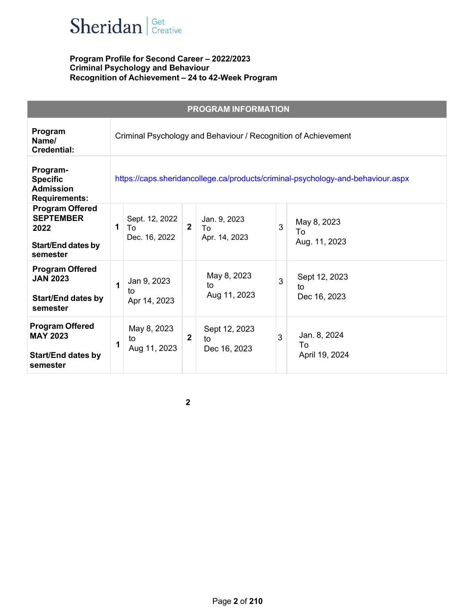

| <b>PROGRAM INFORMATION</b>                                                                  |   |                                                                                 |                |                                     |   |                                      |  |
|---------------------------------------------------------------------------------------------|---|---------------------------------------------------------------------------------|----------------|-------------------------------------|---|--------------------------------------|--|
| Program<br>Name/<br>Credential:                                                             |   | Criminal Psychology and Behaviour / Recognition of Achievement                  |                |                                     |   |                                      |  |
| Program-<br><b>Specific</b><br><b>Admission</b><br><b>Requirements:</b>                     |   | https://caps.sheridancollege.ca/products/criminal-psychology-and-behaviour.aspx |                |                                     |   |                                      |  |
| <b>Program Offered</b><br><b>SEPTEMBER</b><br>2022<br><b>Start/End dates by</b><br>semester | 1 | Sept. 12, 2022<br>Tο<br>Dec. 16, 2022                                           | $\overline{2}$ | Jan. 9, 2023<br>To<br>Apr. 14, 2023 | 3 | May 8, 2023<br>To<br>Aug. 11, 2023   |  |
| <b>Program Offered</b><br><b>JAN 2023</b><br><b>Start/End dates by</b><br>semester          | 1 | Jan 9, 2023<br>to<br>Apr 14, 2023                                               |                | May 8, 2023<br>to<br>Aug 11, 2023   | 3 | Sept 12, 2023<br>to<br>Dec 16, 2023  |  |
| <b>Program Offered</b><br><b>MAY 2023</b><br><b>Start/End dates by</b><br>semester          | 1 | May 8, 2023<br>to<br>Aug 11, 2023                                               | $\overline{2}$ | Sept 12, 2023<br>to<br>Dec 16, 2023 | 3 | Jan. 8, 2024<br>To<br>April 19, 2024 |  |

 $\overline{\mathbf{2}}$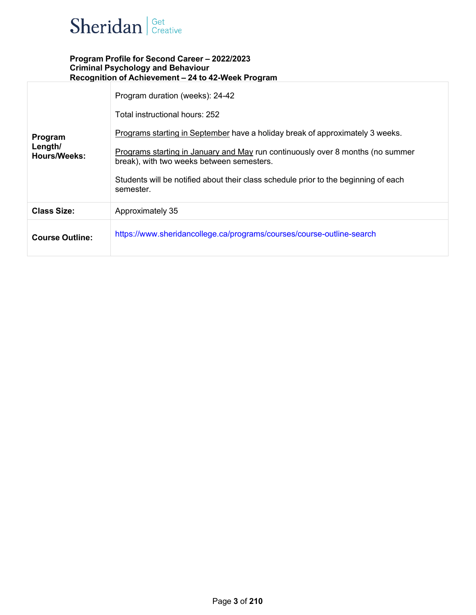

| Program<br>Length/<br><b>Hours/Weeks:</b> | Program duration (weeks): 24-42<br>Total instructional hours: 252<br>Programs starting in September have a holiday break of approximately 3 weeks.<br>Programs starting in January and May run continuously over 8 months (no summer<br>break), with two weeks between semesters.<br>Students will be notified about their class schedule prior to the beginning of each<br>semester. |
|-------------------------------------------|---------------------------------------------------------------------------------------------------------------------------------------------------------------------------------------------------------------------------------------------------------------------------------------------------------------------------------------------------------------------------------------|
| <b>Class Size:</b>                        | Approximately 35                                                                                                                                                                                                                                                                                                                                                                      |
| <b>Course Outline:</b>                    | https://www.sheridancollege.ca/programs/courses/course-outline-search                                                                                                                                                                                                                                                                                                                 |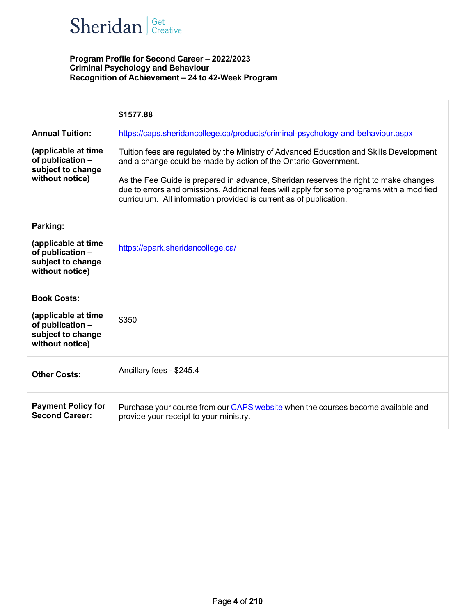# Sheridan | Get Creative

|                                                                                                       | \$1577.88                                                                                                                                                                                                                                               |
|-------------------------------------------------------------------------------------------------------|---------------------------------------------------------------------------------------------------------------------------------------------------------------------------------------------------------------------------------------------------------|
| <b>Annual Tuition:</b>                                                                                | https://caps.sheridancollege.ca/products/criminal-psychology-and-behaviour.aspx                                                                                                                                                                         |
| (applicable at time<br>of publication -<br>subject to change<br>without notice)                       | Tuition fees are regulated by the Ministry of Advanced Education and Skills Development<br>and a change could be made by action of the Ontario Government.                                                                                              |
|                                                                                                       | As the Fee Guide is prepared in advance, Sheridan reserves the right to make changes<br>due to errors and omissions. Additional fees will apply for some programs with a modified<br>curriculum. All information provided is current as of publication. |
| Parking:<br>(applicable at time<br>of publication -<br>subject to change<br>without notice)           | https://epark.sheridancollege.ca/                                                                                                                                                                                                                       |
| <b>Book Costs:</b><br>(applicable at time<br>of publication -<br>subject to change<br>without notice) | \$350                                                                                                                                                                                                                                                   |
| <b>Other Costs:</b>                                                                                   | Ancillary fees - \$245.4                                                                                                                                                                                                                                |
| <b>Payment Policy for</b><br><b>Second Career:</b>                                                    | Purchase your course from our CAPS website when the courses become available and<br>provide your receipt to your ministry.                                                                                                                              |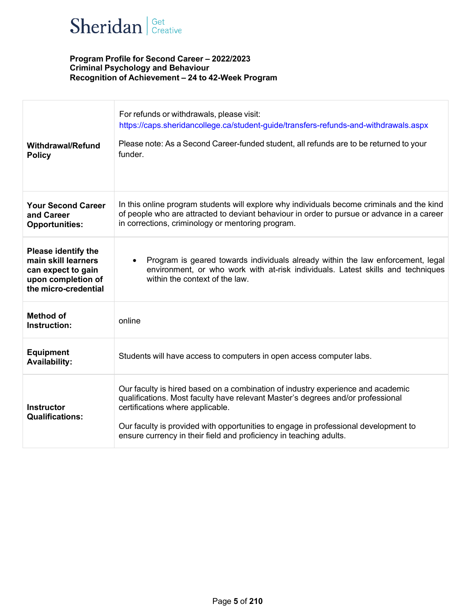

| <b>Withdrawal/Refund</b><br><b>Policy</b>                                                                             | For refunds or withdrawals, please visit:<br>https://caps.sheridancollege.ca/student-guide/transfers-refunds-and-withdrawals.aspx<br>Please note: As a Second Career-funded student, all refunds are to be returned to your<br>funder.                                                                                                                              |
|-----------------------------------------------------------------------------------------------------------------------|---------------------------------------------------------------------------------------------------------------------------------------------------------------------------------------------------------------------------------------------------------------------------------------------------------------------------------------------------------------------|
| <b>Your Second Career</b><br>and Career<br><b>Opportunities:</b>                                                      | In this online program students will explore why individuals become criminals and the kind<br>of people who are attracted to deviant behaviour in order to pursue or advance in a career<br>in corrections, criminology or mentoring program.                                                                                                                       |
| <b>Please identify the</b><br>main skill learners<br>can expect to gain<br>upon completion of<br>the micro-credential | Program is geared towards individuals already within the law enforcement, legal<br>$\bullet$<br>environment, or who work with at-risk individuals. Latest skills and techniques<br>within the context of the law.                                                                                                                                                   |
| <b>Method of</b><br>Instruction:                                                                                      | online                                                                                                                                                                                                                                                                                                                                                              |
| <b>Equipment</b><br><b>Availability:</b>                                                                              | Students will have access to computers in open access computer labs.                                                                                                                                                                                                                                                                                                |
| <b>Instructor</b><br><b>Qualifications:</b>                                                                           | Our faculty is hired based on a combination of industry experience and academic<br>qualifications. Most faculty have relevant Master's degrees and/or professional<br>certifications where applicable.<br>Our faculty is provided with opportunities to engage in professional development to<br>ensure currency in their field and proficiency in teaching adults. |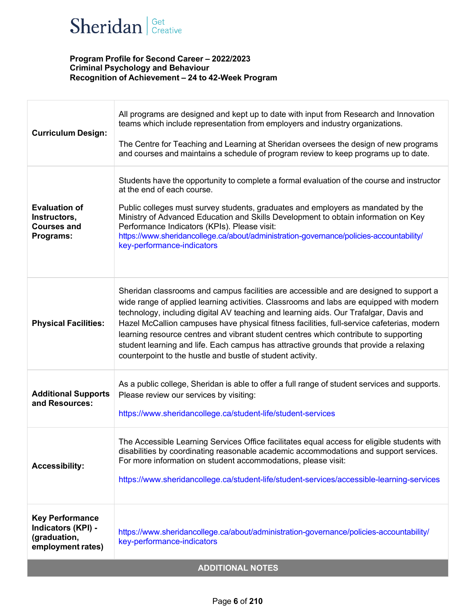# Sheridan | Get Creative

| <b>Curriculum Design:</b>                                                         | All programs are designed and kept up to date with input from Research and Innovation<br>teams which include representation from employers and industry organizations.<br>The Centre for Teaching and Learning at Sheridan oversees the design of new programs<br>and courses and maintains a schedule of program review to keep programs up to date.                                                                                                                                                                                                                                                                   |  |  |
|-----------------------------------------------------------------------------------|-------------------------------------------------------------------------------------------------------------------------------------------------------------------------------------------------------------------------------------------------------------------------------------------------------------------------------------------------------------------------------------------------------------------------------------------------------------------------------------------------------------------------------------------------------------------------------------------------------------------------|--|--|
| <b>Evaluation of</b><br>Instructors,<br><b>Courses and</b><br>Programs:           | Students have the opportunity to complete a formal evaluation of the course and instructor<br>at the end of each course.<br>Public colleges must survey students, graduates and employers as mandated by the<br>Ministry of Advanced Education and Skills Development to obtain information on Key<br>Performance Indicators (KPIs). Please visit:<br>https://www.sheridancollege.ca/about/administration-governance/policies-accountability/<br>key-performance-indicators                                                                                                                                             |  |  |
| <b>Physical Facilities:</b>                                                       | Sheridan classrooms and campus facilities are accessible and are designed to support a<br>wide range of applied learning activities. Classrooms and labs are equipped with modern<br>technology, including digital AV teaching and learning aids. Our Trafalgar, Davis and<br>Hazel McCallion campuses have physical fitness facilities, full-service cafeterias, modern<br>learning resource centres and vibrant student centres which contribute to supporting<br>student learning and life. Each campus has attractive grounds that provide a relaxing<br>counterpoint to the hustle and bustle of student activity. |  |  |
| <b>Additional Supports</b><br>and Resources:                                      | As a public college, Sheridan is able to offer a full range of student services and supports.<br>Please review our services by visiting:<br>https://www.sheridancollege.ca/student-life/student-services                                                                                                                                                                                                                                                                                                                                                                                                                |  |  |
| <b>Accessibility:</b>                                                             | The Accessible Learning Services Office facilitates equal access for eligible students with<br>disabilities by coordinating reasonable academic accommodations and support services.<br>For more information on student accommodations, please visit:<br>https://www.sheridancollege.ca/student-life/student-services/accessible-learning-services                                                                                                                                                                                                                                                                      |  |  |
| <b>Key Performance</b><br>Indicators (KPI) -<br>(graduation,<br>employment rates) | https://www.sheridancollege.ca/about/administration-governance/policies-accountability/<br>key-performance-indicators                                                                                                                                                                                                                                                                                                                                                                                                                                                                                                   |  |  |
| <b>ADDITIONAL NOTES</b>                                                           |                                                                                                                                                                                                                                                                                                                                                                                                                                                                                                                                                                                                                         |  |  |